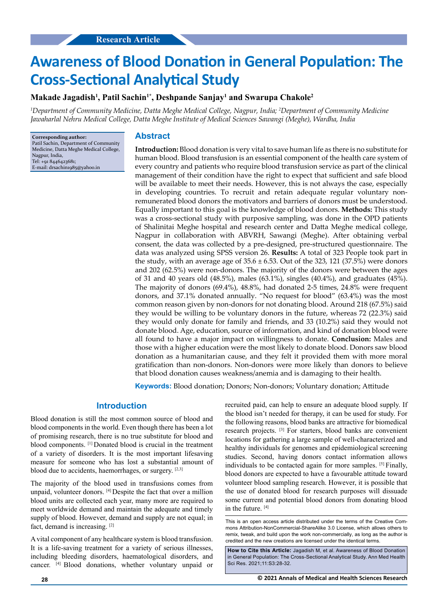# **Awareness of Blood Donation in General Population: The Cross-Sectional Analytical Study**

# **Makade Jagadish1 , Patil Sachin1\*, Deshpande Sanjay1 and Swarupa Chakole2**

*1 Department of Community Medicine, Datta Meghe Medical College, Nagpur, India; 2 Department of Community Medicine Jawaharlal Nehru Medical College, Datta Meghe Institute of Medical Sciences Sawangi (Meghe), Wardha, India*

**Corresponding author:** Patil Sachin, Department of Community Medicine, Datta Meghe Medical College, Nagpur, India, Tel: +91 8446423681; E-mail: drsachin1985@yahoo.in

# **Abstract**

**Introduction:** Blood donation is very vital to save human life as there is no substitute for human blood. Blood transfusion is an essential component of the health care system of every country and patients who require blood transfusion service as part of the clinical management of their condition have the right to expect that sufficient and safe blood will be available to meet their needs. However, this is not always the case, especially in developing countries. To recruit and retain adequate regular voluntary nonremunerated blood donors the motivators and barriers of donors must be understood. Equally important to this goal is the knowledge of blood donors. **Methods:** This study was a cross-sectional study with purposive sampling, was done in the OPD patients of Shalinitai Meghe hospital and research center and Datta Meghe medical college, Nagpur in collaboration with ABVRH, Sawangi (Meghe). After obtaining verbal consent, the data was collected by a pre-designed, pre-structured questionnaire. The data was analyzed using SPSS version 26. **Results:** A total of 323 People took part in the study, with an average age of  $35.6 \pm 6.53$ . Out of the 323, 121 (37.5%) were donors and 202 (62.5%) were non-donors. The majority of the donors were between the ages of 31 and 40 years old (48.5%), males (63.1%), singles (40.4%), and graduates (45%). The majority of donors (69.4%), 48.8%, had donated 2-5 times, 24.8% were frequent donors, and 37.1% donated annually. "No request for blood" (63.4%) was the most common reason given by non-donors for not donating blood. Around 218 (67.5%) said they would be willing to be voluntary donors in the future, whereas 72 (22.3%) said they would only donate for family and friends, and 33 (10.2%) said they would not donate blood. Age, education, source of information, and kind of donation blood were all found to have a major impact on willingness to donate. **Conclusion:** Males and those with a higher education were the most likely to donate blood. Donors saw blood donation as a humanitarian cause, and they felt it provided them with more moral gratification than non-donors. Non-donors were more likely than donors to believe that blood donation causes weakness/anemia and is damaging to their health.

**Keywords:** Blood donation; Donors; Non-donors; Voluntary donation; Attitude

## **Introduction**

Blood donation is still the most common source of blood and blood components in the world. Even though there has been a lot of promising research, there is no true substitute for blood and blood components. [1] Donated blood is crucial in the treatment of a variety of disorders. It is the most important lifesaving measure for someone who has lost a substantial amount of blood due to accidents, haemorrhages, or surgery. [2,3]

The majority of the blood used in transfusions comes from unpaid, volunteer donors. [4] Despite the fact that over a million blood units are collected each year, many more are required to meet worldwide demand and maintain the adequate and timely supply of blood. However, demand and supply are not equal; in fact, demand is increasing. [2]

A vital component of any healthcare system is blood transfusion. It is a life-saving treatment for a variety of serious illnesses, including bleeding disorders, haematological disorders, and cancer. [4] Blood donations, whether voluntary unpaid or recruited paid, can help to ensure an adequate blood supply. If the blood isn't needed for therapy, it can be used for study. For the following reasons, blood banks are attractive for biomedical research projects. [3] For starters, blood banks are convenient locations for gathering a large sample of well-characterized and healthy individuals for genomes and epidemiological screening studies. Second, having donors contact information allows individuals to be contacted again for more samples. [5] Finally, blood donors are expected to have a favourable attitude toward volunteer blood sampling research. However, it is possible that the use of donated blood for research purposes will dissuade some current and potential blood donors from donating blood in the future. [4]

This is an open access article distributed under the terms of the Creative Commons Attribution‑NonCommercial‑ShareAlike 3.0 License, which allows others to remix, tweak, and build upon the work non‑commercially, as long as the author is credited and the new creations are licensed under the identical terms.

**How to Cite this Article:** Jagadish M, et al. Awareness of Blood Donation in General Population: The Cross-Sectional Analytical Study. Ann Med Health Sci Res. 2021;11:S3:28-32.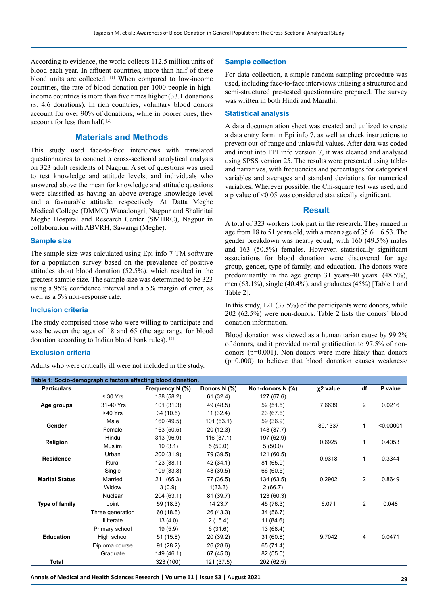According to evidence, the world collects 112.5 million units of blood each year. In affluent countries, more than half of these blood units are collected. <sup>[1]</sup> When compared to low-income countries, the rate of blood donation per 1000 people in highincome countries is more than five times higher (33.1 donations *vs.* 4.6 donations). In rich countries, voluntary blood donors account for over 90% of donations, while in poorer ones, they account for less than half. [2]

# **Materials and Methods**

This study used face-to-face interviews with translated questionnaires to conduct a cross-sectional analytical analysis on 323 adult residents of Nagpur. A set of questions was used to test knowledge and attitude levels, and individuals who answered above the mean for knowledge and attitude questions were classified as having an above-average knowledge level and a favourable attitude, respectively. At Datta Meghe Medical College (DMMC) Wanadongri, Nagpur and Shalinitai Meghe Hospital and Research Center (SMHRC), Nagpur in collaboration with ABVRH, Sawangi (Meghe).

#### **Sample size**

The sample size was calculated using Epi info 7 TM software for a population survey based on the prevalence of positive attitudes about blood donation (52.5%). which resulted in the greatest sample size. The sample size was determined to be 323 using a 95% confidence interval and a 5% margin of error, as well as a 5% non-response rate.

#### **Inclusion criteria**

The study comprised those who were willing to participate and was between the ages of 18 and 65 (the age range for blood donation according to Indian blood bank rules). [3]

#### **Exclusion criteria**

Adults who were critically ill were not included in the study.

#### **Sample collection**

For data collection, a simple random sampling procedure was used, including face-to-face interviews utilising a structured and semi-structured pre-tested questionnaire prepared. The survey was written in both Hindi and Marathi.

## **Statistical analysis**

A data documentation sheet was created and utilized to create a data entry form in Epi info 7, as well as check instructions to prevent out-of-range and unlawful values. After data was coded and input into EPI info version 7, it was cleaned and analysed using SPSS version 25. The results were presented using tables and narratives, with frequencies and percentages for categorical variables and averages and standard deviations for numerical variables. Wherever possible, the Chi-square test was used, and a p value of <0.05 was considered statistically significant.

### **Result**

A total of 323 workers took part in the research. They ranged in age from 18 to 51 years old, with a mean age of  $35.6 \pm 6.53$ . The gender breakdown was nearly equal, with 160 (49.5%) males and 163 (50.5%) females. However, statistically significant associations for blood donation were discovered for age group, gender, type of family, and education. The donors were predominantly in the age group 31 years-40 years. (48.5%), men (63.1%), single (40.4%), and graduates (45%) [Table 1 and Table 2].

In this study, 121 (37.5%) of the participants were donors, while 202 (62.5%) were non-donors. Table 2 lists the donors' blood donation information.

Blood donation was viewed as a humanitarian cause by 99.2% of donors, and it provided moral gratification to 97.5% of nondonors (p=0.001). Non-donors were more likely than donors  $(p=0.000)$  to believe that blood donation causes weakness/

| Table 1: Socio-demographic factors affecting blood donation. |                  |                 |              |                  |                      |                |           |
|--------------------------------------------------------------|------------------|-----------------|--------------|------------------|----------------------|----------------|-----------|
| <b>Particulars</b>                                           |                  | Frequency N (%) | Donors N (%) | Non-donors N (%) | x <sub>2</sub> value | df             | P value   |
| Age groups                                                   | $\leq 30$ Yrs    | 188 (58.2)      | 61 (32.4)    | 127 (67.6)       |                      |                |           |
|                                                              | 31-40 Yrs        | 101 (31.3)      | 49 (48.5)    | 52(51.5)         | 7.6639               | $\overline{2}$ | 0.0216    |
|                                                              | >40 Yrs          | 34 (10.5)       | 11(32.4)     | 23 (67.6)        |                      |                |           |
| Gender                                                       | Male             | 160 (49.5)      | 101(63.1)    | 59 (36.9)        | 89.1337              | 1              | < 0.00001 |
|                                                              | Female           | 163 (50.5)      | 20(12.3)     | 143 (87.7)       |                      |                |           |
| Religion                                                     | Hindu            | 313 (96.9)      | 116(37.1)    | 197 (62.9)       | 0.6925               | 1              | 0.4053    |
|                                                              | Muslim           | 10(3.1)         | 5(50.0)      | 5(50.0)          |                      |                |           |
| <b>Residence</b>                                             | Urban            | 200 (31.9)      | 79 (39.5)    | 121 (60.5)       | 0.9318               | 1              | 0.3344    |
|                                                              | Rural            | 123(38.1)       | 42 (34.1)    | 81 (65.9)        |                      |                |           |
| <b>Marital Status</b>                                        | Single           | 109 (33.8)      | 43 (39.5)    | 66 (60.5)        |                      |                |           |
|                                                              | Married          | 211 (65.3)      | 77 (36.5)    | 134 (63.5)       | 0.2902               | $\overline{c}$ | 0.8649    |
|                                                              | Widow            | 3(0.9)          | 1(33.3)      | 2(66.7)          |                      |                |           |
|                                                              | Nuclear          | 204 (63.1)      | 81 (39.7)    | 123 (60.3)       |                      |                |           |
| Type of family                                               | Joint            | 59 (18.3)       | 14 23.7      | 45 (76.3)        | 6.071                | $\overline{c}$ | 0.048     |
|                                                              | Three generation | 60 (18.6)       | 26 (43.3)    | 34 (56.7)        |                      |                |           |
| <b>Education</b>                                             | Illiterate       | 13(4.0)         | 2(15.4)      | 11(84.6)         |                      |                |           |
|                                                              | Primary school   | 19(5.9)         | 6(31.6)      | 13 (68.4)        |                      |                |           |
|                                                              | High school      | 51 (15.8)       | 20 (39.2)    | 31(60.8)         | 9.7042               | 4              | 0.0471    |
|                                                              | Diploma course   | 91(28.2)        | 26 (28.6)    | 65 (71.4)        |                      |                |           |
|                                                              | Graduate         | 149 (46.1)      | 67 (45.0)    | 82 (55.0)        |                      |                |           |
| Total                                                        |                  | 323 (100)       | 121 (37.5)   | 202 (62.5)       |                      |                |           |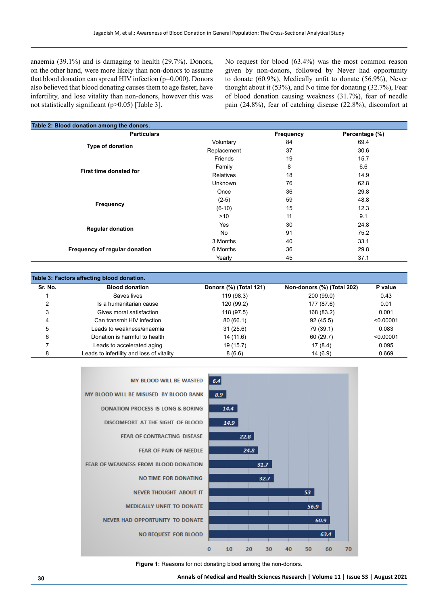anaemia (39.1%) and is damaging to health (29.7%). Donors, on the other hand, were more likely than non-donors to assume that blood donation can spread HIV infection (p=0.000). Donors also believed that blood donating causes them to age faster, have infertility, and lose vitality than non-donors, however this was not statistically significant (p>0.05) [Table 3].

No request for blood (63.4%) was the most common reason given by non-donors, followed by Never had opportunity to donate (60.9%), Medically unfit to donate (56.9%), Never thought about it (53%), and No time for donating (32.7%), Fear of blood donation causing weakness (31.7%), fear of needle pain (24.8%), fear of catching disease (22.8%), discomfort at

| <b>Particulars</b>            |                  | Frequency | Percentage (%) |
|-------------------------------|------------------|-----------|----------------|
|                               | Voluntary        | 84        | 69.4           |
| Type of donation              | Replacement      | 37        | 30.6           |
|                               | Friends          | 19        | 15.7           |
|                               | Family           | 8         | 6.6            |
| First time donated for        | <b>Relatives</b> | 18        | 14.9           |
|                               | Unknown          | 76        | 62.8           |
|                               | Once             | 36        | 29.8           |
|                               | $(2-5)$          | 59        | 48.8           |
| Frequency                     | $(6-10)$         | 15        | 12.3           |
|                               | >10              | 11        | 9.1            |
|                               | Yes              | 30        | 24.8           |
| <b>Regular donation</b>       | No               | 91        | 75.2           |
|                               | 3 Months         | 40        | 33.1           |
| Frequency of regular donation | 6 Months         | 36        | 29.8           |
|                               | Yearly           | 45        | 37.1           |

| Table 3: Factors affecting blood donation. |                                           |                        |                            |           |  |  |
|--------------------------------------------|-------------------------------------------|------------------------|----------------------------|-----------|--|--|
| Sr. No.                                    | <b>Blood donation</b>                     | Donors (%) (Total 121) | Non-donors (%) (Total 202) | P value   |  |  |
|                                            | Saves lives                               | 119 (98.3)             | 200 (99.0)                 | 0.43      |  |  |
|                                            | Is a humanitarian cause                   | 120 (99.2)             | 177 (87.6)                 | 0.01      |  |  |
|                                            | Gives moral satisfaction                  | 118 (97.5)             | 168 (83.2)                 | 0.001     |  |  |
| 4                                          | Can transmit HIV infection                | 80(66.1)               | 92(45.5)                   | < 0.00001 |  |  |
| 5                                          | Leads to weakness/anaemia                 | 31(25.6)               | 79 (39.1)                  | 0.083     |  |  |
| 6                                          | Donation is harmful to health             | 14 (11.6)              | 60(29.7)                   | < 0.00001 |  |  |
|                                            | Leads to accelerated aging                | 19(15.7)               | 17(8.4)                    | 0.095     |  |  |
|                                            | Leads to infertility and loss of vitality | 8(6.6)                 | 14(6.9)                    | 0.669     |  |  |



**Figure 1:** Reasons for not donating blood among the non-donors.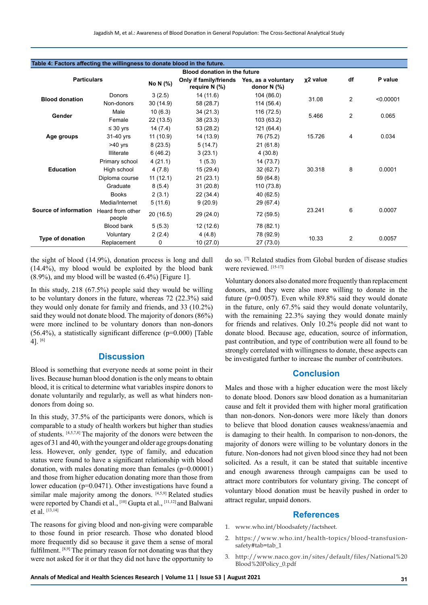| Table 4: Factors affecting the willingness to donate blood in the future. |                            |          |                                           |                                         |                      |    |           |  |
|---------------------------------------------------------------------------|----------------------------|----------|-------------------------------------------|-----------------------------------------|----------------------|----|-----------|--|
| <b>Blood donation in the future</b>                                       |                            |          |                                           |                                         |                      |    |           |  |
| <b>Particulars</b>                                                        |                            | No N (%) | Only if family/friends<br>require $N(\%)$ | Yes, as a voluntary<br>donor $N$ $(\%)$ | x <sub>2</sub> value | df | P value   |  |
| <b>Blood donation</b>                                                     | Donors                     | 3(2.5)   | 14(11.6)                                  | 104 (86.0)                              | 31.08                | 2  | < 0.00001 |  |
|                                                                           | Non-donors                 | 30(14.9) | 58 (28.7)                                 | 114 (56.4)                              |                      |    |           |  |
| Gender                                                                    | Male                       | 10(6.3)  | 34(21.3)                                  | 116 (72.5)                              | 5.466                | 2  | 0.065     |  |
|                                                                           | Female                     | 22(13.5) | 38(23.3)                                  | 103 (63.2)                              |                      |    |           |  |
|                                                                           | $\leq 30$ yrs              | 14(7.4)  | 53 (28.2)                                 | 121 (64.4)                              | 15.726               | 4  | 0.034     |  |
| Age groups                                                                | 31-40 yrs                  | 11(10.9) | 14 (13.9)                                 | 76 (75.2)                               |                      |    |           |  |
|                                                                           | $>40$ yrs                  | 8(23.5)  | 5(14.7)                                   | 21(61.8)                                |                      |    |           |  |
|                                                                           | <b>Illiterate</b>          | 6(46.2)  | 3(23.1)                                   | 4(30.8)                                 | 30.318               | 8  | 0.0001    |  |
|                                                                           | Primary school             | 4(21.1)  | 1(5.3)                                    | 14 (73.7)                               |                      |    |           |  |
| <b>Education</b>                                                          | High school                | 4(7.8)   | 15(29.4)                                  | 32(62.7)                                |                      |    |           |  |
|                                                                           | Diploma course             | 11(12.1) | 21(23.1)                                  | 59 (64.8)                               |                      |    |           |  |
|                                                                           | Graduate                   | 8(5.4)   | 31(20.8)                                  | 110 (73.8)                              |                      |    |           |  |
|                                                                           | <b>Books</b>               | 2(3.1)   | 22(34.4)                                  | 40 (62.5)                               |                      |    |           |  |
|                                                                           | Media/Internet             | 5(11.6)  | 9(20.9)                                   | 29 (67.4)                               | 23.241               | 6  | 0.0007    |  |
| Source of information                                                     | Heard from other<br>people | 20(16.5) | 29 (24.0)                                 | 72 (59.5)                               |                      |    |           |  |
|                                                                           | Blood bank                 | 5(5.3)   | 12 (12.6)                                 | 78 (82.1)                               |                      |    |           |  |
|                                                                           | Voluntary                  | 2(2.4)   | 4(4.8)                                    | 78 (92.9)                               | 10.33                |    | 0.0057    |  |
| Type of donation                                                          | Replacement                | 0        | 10(27.0)                                  | 27 (73.0)                               |                      | 2  |           |  |
|                                                                           |                            |          |                                           |                                         |                      |    |           |  |

the sight of blood (14.9%), donation process is long and dull (14.4%), my blood would be exploited by the blood bank (8.9%), and my blood will be wasted (6.4%) [Figure 1].

In this study, 218 (67.5%) people said they would be willing to be voluntary donors in the future, whereas 72 (22.3%) said they would only donate for family and friends, and 33 (10.2%) said they would not donate blood. The majority of donors (86%) were more inclined to be voluntary donors than non-donors (56.4%), a statistically significant difference (p=0.000) [Table 4]. [6]

#### **Discussion**

Blood is something that everyone needs at some point in their lives. Because human blood donation is the only means to obtain blood, it is critical to determine what variables inspire donors to donate voluntarily and regularly, as well as what hinders nondonors from doing so.

In this study, 37.5% of the participants were donors, which is comparable to a study of health workers but higher than studies of students. [4,5,7,8] The majority of the donors were between the ages of 31 and 40, with the younger and older age groups donating less. However, only gender, type of family, and education status were found to have a significant relationship with blood donation, with males donating more than females (p=0.00001) and those from higher education donating more than those from lower education (p=0.0471). Other investigations have found a similar male majority among the donors. [4,5,9] Related studies were reported by Chandi et al., [10] Gupta et al., [11,12] and Balwani et al. [13,14]

The reasons for giving blood and non-giving were comparable to those found in prior research. Those who donated blood more frequently did so because it gave them a sense of moral fulfilment. [8,9] The primary reason for not donating was that they were not asked for it or that they did not have the opportunity to

do so. [7] Related studies from Global burden of disease studies were reviewed. [15-17]

Voluntary donors also donated more frequently than replacement donors, and they were also more willing to donate in the future (p=0.0057). Even while 89.8% said they would donate in the future, only 67.5% said they would donate voluntarily, with the remaining 22.3% saying they would donate mainly for friends and relatives. Only 10.2% people did not want to donate blood. Because age, education, source of information, past contribution, and type of contribution were all found to be strongly correlated with willingness to donate, these aspects can be investigated further to increase the number of contributors.

## **Conclusion**

Males and those with a higher education were the most likely to donate blood. Donors saw blood donation as a humanitarian cause and felt it provided them with higher moral gratification than non-donors. Non-donors were more likely than donors to believe that blood donation causes weakness/anaemia and is damaging to their health. In comparison to non-donors, the majority of donors were willing to be voluntary donors in the future. Non-donors had not given blood since they had not been solicited. As a result, it can be stated that suitable incentive and enough awareness through campaigns can be used to attract more contributors for voluntary giving. The concept of voluntary blood donation must be heavily pushed in order to attract regular, unpaid donors.

## **References**

- 1. www.who.int/bloodsafety/factsheet.
- 2. https://www.who.int/health-topics/blood-transfusionsafety#tab=tab\_1
- 3. http://www.naco.gov.in/sites/default/files/National%20 Blood%20Policy\_0.pdf